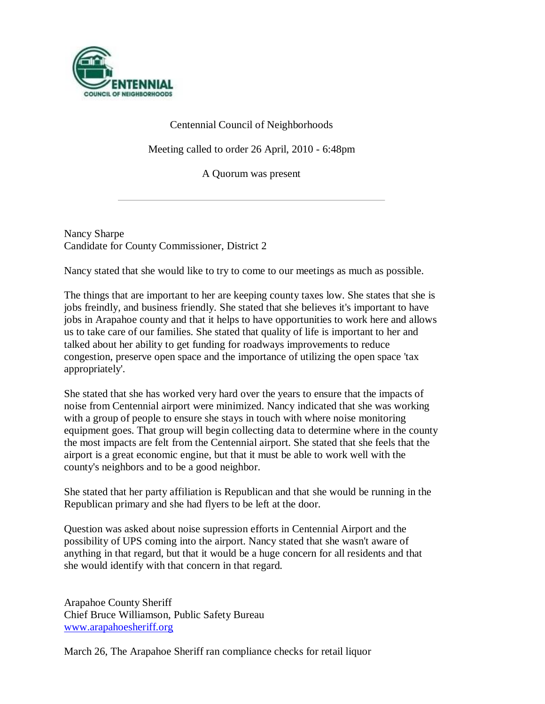

# Centennial Council of Neighborhoods

Meeting called to order 26 April, 2010 - 6:48pm

A Quorum was present

Nancy Sharpe Candidate for County Commissioner, District 2

Nancy stated that she would like to try to come to our meetings as much as possible.

The things that are important to her are keeping county taxes low. She states that she is jobs freindly, and business friendly. She stated that she believes it's important to have jobs in Arapahoe county and that it helps to have opportunities to work here and allows us to take care of our families. She stated that quality of life is important to her and talked about her ability to get funding for roadways improvements to reduce congestion, preserve open space and the importance of utilizing the open space 'tax appropriately'.

She stated that she has worked very hard over the years to ensure that the impacts of noise from Centennial airport were minimized. Nancy indicated that she was working with a group of people to ensure she stays in touch with where noise monitoring equipment goes. That group will begin collecting data to determine where in the county the most impacts are felt from the Centennial airport. She stated that she feels that the airport is a great economic engine, but that it must be able to work well with the county's neighbors and to be a good neighbor.

She stated that her party affiliation is Republican and that she would be running in the Republican primary and she had flyers to be left at the door.

Question was asked about noise supression efforts in Centennial Airport and the possibility of UPS coming into the airport. Nancy stated that she wasn't aware of anything in that regard, but that it would be a huge concern for all residents and that she would identify with that concern in that regard.

Arapahoe County Sheriff Chief Bruce Williamson, Public Safety Bureau [www.arapahoesheriff.org](http://www.arapahoesheriff.org/)

March 26, The Arapahoe Sheriff ran compliance checks for retail liquor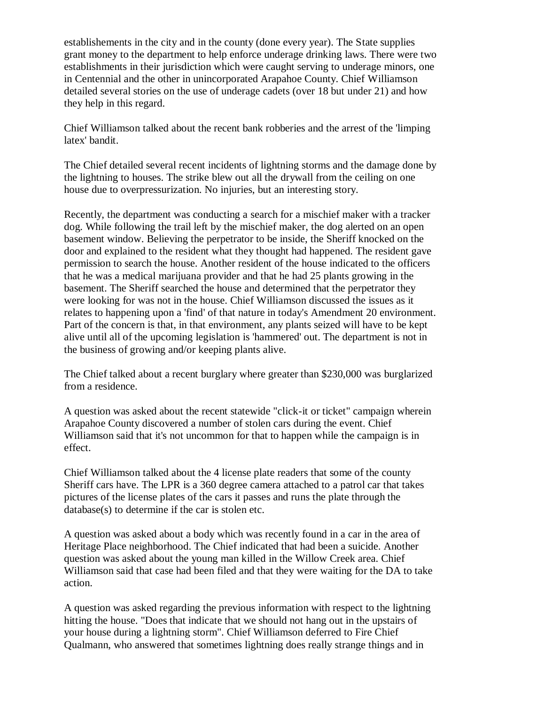establishements in the city and in the county (done every year). The State supplies grant money to the department to help enforce underage drinking laws. There were two establishments in their jurisdiction which were caught serving to underage minors, one in Centennial and the other in unincorporated Arapahoe County. Chief Williamson detailed several stories on the use of underage cadets (over 18 but under 21) and how they help in this regard.

Chief Williamson talked about the recent bank robberies and the arrest of the 'limping latex' bandit.

The Chief detailed several recent incidents of lightning storms and the damage done by the lightning to houses. The strike blew out all the drywall from the ceiling on one house due to overpressurization. No injuries, but an interesting story.

Recently, the department was conducting a search for a mischief maker with a tracker dog. While following the trail left by the mischief maker, the dog alerted on an open basement window. Believing the perpetrator to be inside, the Sheriff knocked on the door and explained to the resident what they thought had happened. The resident gave permission to search the house. Another resident of the house indicated to the officers that he was a medical marijuana provider and that he had 25 plants growing in the basement. The Sheriff searched the house and determined that the perpetrator they were looking for was not in the house. Chief Williamson discussed the issues as it relates to happening upon a 'find' of that nature in today's Amendment 20 environment. Part of the concern is that, in that environment, any plants seized will have to be kept alive until all of the upcoming legislation is 'hammered' out. The department is not in the business of growing and/or keeping plants alive.

The Chief talked about a recent burglary where greater than \$230,000 was burglarized from a residence.

A question was asked about the recent statewide "click-it or ticket" campaign wherein Arapahoe County discovered a number of stolen cars during the event. Chief Williamson said that it's not uncommon for that to happen while the campaign is in effect.

Chief Williamson talked about the 4 license plate readers that some of the county Sheriff cars have. The LPR is a 360 degree camera attached to a patrol car that takes pictures of the license plates of the cars it passes and runs the plate through the database(s) to determine if the car is stolen etc.

A question was asked about a body which was recently found in a car in the area of Heritage Place neighborhood. The Chief indicated that had been a suicide. Another question was asked about the young man killed in the Willow Creek area. Chief Williamson said that case had been filed and that they were waiting for the DA to take action.

A question was asked regarding the previous information with respect to the lightning hitting the house. "Does that indicate that we should not hang out in the upstairs of your house during a lightning storm". Chief Williamson deferred to Fire Chief Qualmann, who answered that sometimes lightning does really strange things and in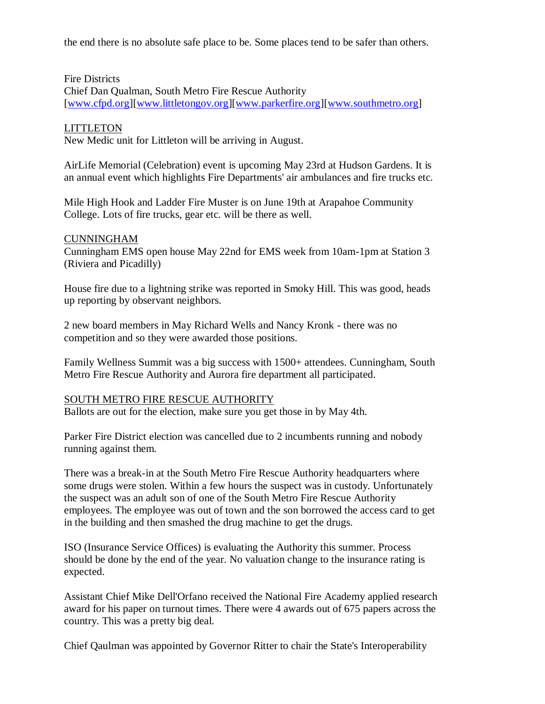the end there is no absolute safe place to be. Some places tend to be safer than others.

# Fire Districts

Chief Dan Qualman, South Metro Fire Rescue Authority [\[www.cfpd.org\]](http://www.cfpd.org/)[\[www.littletongov.org\]](http://www.littletongov.org/)[\[www.parkerfire.org\]](http://www.parkerfire.org/)[\[www.southmetro.org\]](http://www.southmetro.org/)

# **LITTLETON**

New Medic unit for Littleton will be arriving in August.

AirLife Memorial (Celebration) event is upcoming May 23rd at Hudson Gardens. It is an annual event which highlights Fire Departments' air ambulances and fire trucks etc.

Mile High Hook and Ladder Fire Muster is on June 19th at Arapahoe Community College. Lots of fire trucks, gear etc. will be there as well.

### CUNNINGHAM

Cunningham EMS open house May 22nd for EMS week from 10am-1pm at Station 3 (Riviera and Picadilly)

House fire due to a lightning strike was reported in Smoky Hill. This was good, heads up reporting by observant neighbors.

2 new board members in May Richard Wells and Nancy Kronk - there was no competition and so they were awarded those positions.

Family Wellness Summit was a big success with 1500+ attendees. Cunningham, South Metro Fire Rescue Authority and Aurora fire department all participated.

# SOUTH METRO FIRE RESCUE AUTHORITY

Ballots are out for the election, make sure you get those in by May 4th.

Parker Fire District election was cancelled due to 2 incumbents running and nobody running against them.

There was a break-in at the South Metro Fire Rescue Authority headquarters where some drugs were stolen. Within a few hours the suspect was in custody. Unfortunately the suspect was an adult son of one of the South Metro Fire Rescue Authority employees. The employee was out of town and the son borrowed the access card to get in the building and then smashed the drug machine to get the drugs.

ISO (Insurance Service Offices) is evaluating the Authority this summer. Process should be done by the end of the year. No valuation change to the insurance rating is expected.

Assistant Chief Mike Dell'Orfano received the National Fire Academy applied research award for his paper on turnout times. There were 4 awards out of 675 papers across the country. This was a pretty big deal.

Chief Qaulman was appointed by Governor Ritter to chair the State's Interoperability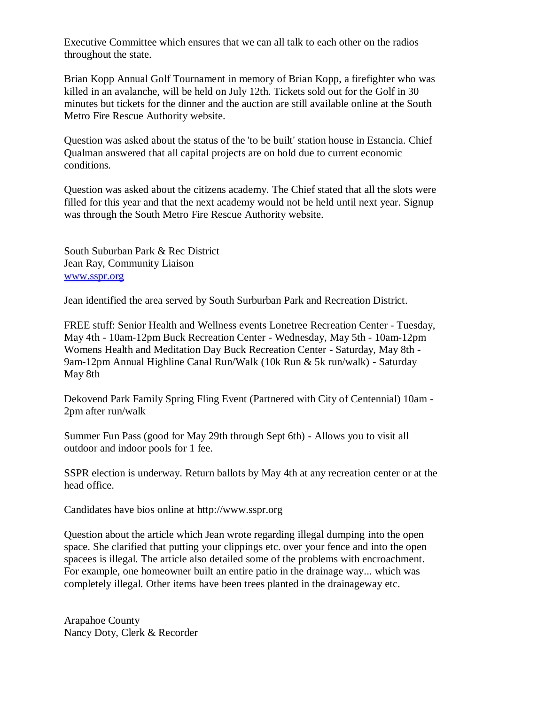Executive Committee which ensures that we can all talk to each other on the radios throughout the state.

Brian Kopp Annual Golf Tournament in memory of Brian Kopp, a firefighter who was killed in an avalanche, will be held on July 12th. Tickets sold out for the Golf in 30 minutes but tickets for the dinner and the auction are still available online at the South Metro Fire Rescue Authority website.

Question was asked about the status of the 'to be built' station house in Estancia. Chief Qualman answered that all capital projects are on hold due to current economic conditions.

Question was asked about the citizens academy. The Chief stated that all the slots were filled for this year and that the next academy would not be held until next year. Signup was through the South Metro Fire Rescue Authority website.

South Suburban Park & Rec District Jean Ray, Community Liaison [www.sspr.org](http://www.sspr.org/)

Jean identified the area served by South Surburban Park and Recreation District.

FREE stuff: Senior Health and Wellness events Lonetree Recreation Center - Tuesday, May 4th - 10am-12pm Buck Recreation Center - Wednesday, May 5th - 10am-12pm Womens Health and Meditation Day Buck Recreation Center - Saturday, May 8th - 9am-12pm Annual Highline Canal Run/Walk (10k Run & 5k run/walk) - Saturday May 8th

Dekovend Park Family Spring Fling Event (Partnered with City of Centennial) 10am - 2pm after run/walk

Summer Fun Pass (good for May 29th through Sept 6th) - Allows you to visit all outdoor and indoor pools for 1 fee.

SSPR election is underway. Return ballots by May 4th at any recreation center or at the head office.

Candidates have bios online at http://www.sspr.org

Question about the article which Jean wrote regarding illegal dumping into the open space. She clarified that putting your clippings etc. over your fence and into the open spacees is illegal. The article also detailed some of the problems with encroachment. For example, one homeowner built an entire patio in the drainage way... which was completely illegal. Other items have been trees planted in the drainageway etc.

Arapahoe County Nancy Doty, Clerk & Recorder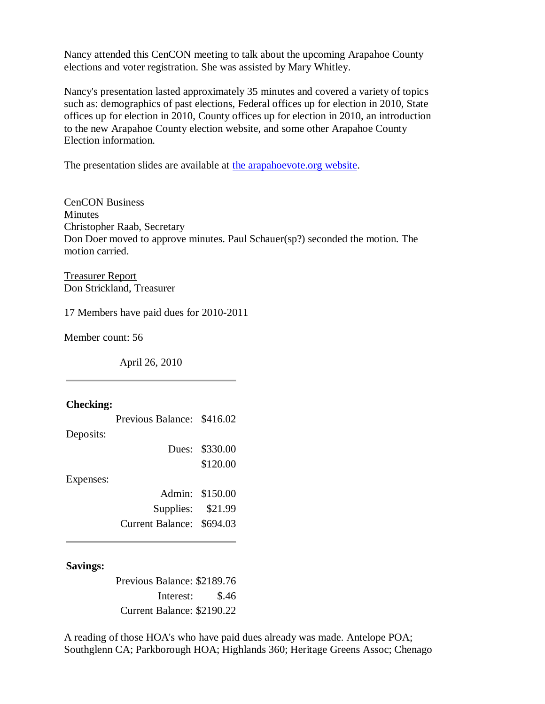Nancy attended this CenCON meeting to talk about the upcoming Arapahoe County elections and voter registration. She was assisted by Mary Whitley.

Nancy's presentation lasted approximately 35 minutes and covered a variety of topics such as: demographics of past elections, Federal offices up for election in 2010, State offices up for election in 2010, County offices up for election in 2010, an introduction to the new Arapahoe County election website, and some other Arapahoe County Election information.

The presentation slides are available at [the arapahoevote.org website.](http://assets01.connect.clarityelections.com/Assets/Connect/RootPublish/arapahoe-co.connect.clarityelections.com/2010/~2010Arap%20Demographics%20%28Web%29.pdf.pdf)

CenCON Business Minutes Christopher Raab, Secretary Don Doer moved to approve minutes. Paul Schauer(sp?) seconded the motion. The motion carried.

Treasurer Report Don Strickland, Treasurer

17 Members have paid dues for 2010-2011

Member count: 56

April 26, 2010

## **Checking:**

|           | Previous Balance: \$416.02 |                 |
|-----------|----------------------------|-----------------|
| Deposits: |                            |                 |
|           |                            | Dues: \$330.00  |
|           |                            | \$120.00        |
| Expenses: |                            |                 |
|           |                            | Admin: \$150.00 |
|           | Supplies: \$21.99          |                 |
|           | Current Balance: \$694.03  |                 |
|           |                            |                 |

### **Savings:**

Previous Balance: \$2189.76 Interest: \$.46 Current Balance: \$2190.22

A reading of those HOA's who have paid dues already was made. Antelope POA; Southglenn CA; Parkborough HOA; Highlands 360; Heritage Greens Assoc; Chenago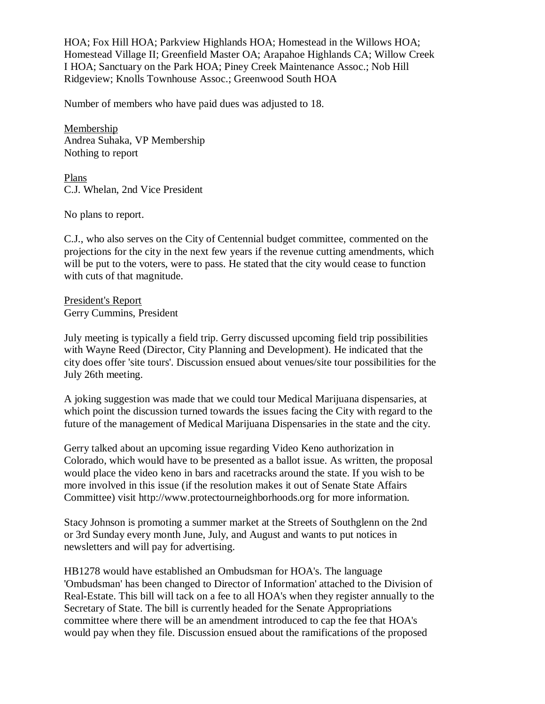HOA; Fox Hill HOA; Parkview Highlands HOA; Homestead in the Willows HOA; Homestead Village II; Greenfield Master OA; Arapahoe Highlands CA; Willow Creek I HOA; Sanctuary on the Park HOA; Piney Creek Maintenance Assoc.; Nob Hill Ridgeview; Knolls Townhouse Assoc.; Greenwood South HOA

Number of members who have paid dues was adjusted to 18.

Membership Andrea Suhaka, VP Membership Nothing to report

Plans C.J. Whelan, 2nd Vice President

No plans to report.

C.J., who also serves on the City of Centennial budget committee, commented on the projections for the city in the next few years if the revenue cutting amendments, which will be put to the voters, were to pass. He stated that the city would cease to function with cuts of that magnitude.

President's Report Gerry Cummins, President

July meeting is typically a field trip. Gerry discussed upcoming field trip possibilities with Wayne Reed (Director, City Planning and Development). He indicated that the city does offer 'site tours'. Discussion ensued about venues/site tour possibilities for the July 26th meeting.

A joking suggestion was made that we could tour Medical Marijuana dispensaries, at which point the discussion turned towards the issues facing the City with regard to the future of the management of Medical Marijuana Dispensaries in the state and the city.

Gerry talked about an upcoming issue regarding Video Keno authorization in Colorado, which would have to be presented as a ballot issue. As written, the proposal would place the video keno in bars and racetracks around the state. If you wish to be more involved in this issue (if the resolution makes it out of Senate State Affairs Committee) visit http://www.protectourneighborhoods.org for more information.

Stacy Johnson is promoting a summer market at the Streets of Southglenn on the 2nd or 3rd Sunday every month June, July, and August and wants to put notices in newsletters and will pay for advertising.

HB1278 would have established an Ombudsman for HOA's. The language 'Ombudsman' has been changed to Director of Information' attached to the Division of Real-Estate. This bill will tack on a fee to all HOA's when they register annually to the Secretary of State. The bill is currently headed for the Senate Appropriations committee where there will be an amendment introduced to cap the fee that HOA's would pay when they file. Discussion ensued about the ramifications of the proposed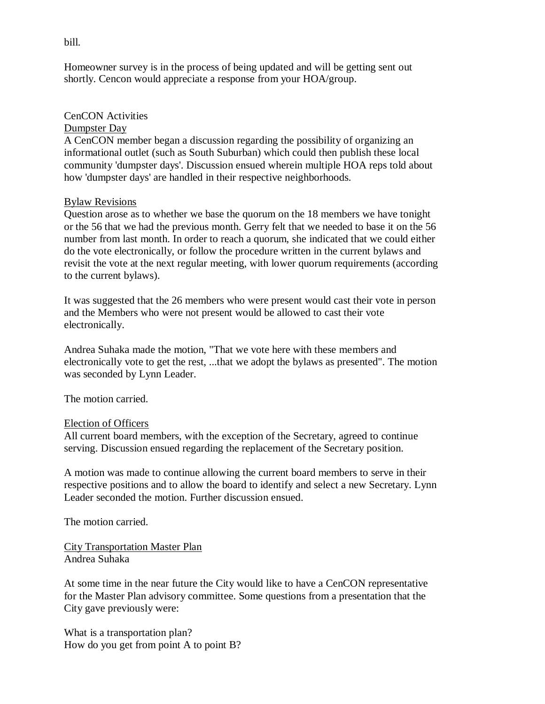Homeowner survey is in the process of being updated and will be getting sent out shortly. Cencon would appreciate a response from your HOA/group.

## CenCON Activities

### Dumpster Day

A CenCON member began a discussion regarding the possibility of organizing an informational outlet (such as South Suburban) which could then publish these local community 'dumpster days'. Discussion ensued wherein multiple HOA reps told about how 'dumpster days' are handled in their respective neighborhoods.

### Bylaw Revisions

Question arose as to whether we base the quorum on the 18 members we have tonight or the 56 that we had the previous month. Gerry felt that we needed to base it on the 56 number from last month. In order to reach a quorum, she indicated that we could either do the vote electronically, or follow the procedure written in the current bylaws and revisit the vote at the next regular meeting, with lower quorum requirements (according to the current bylaws).

It was suggested that the 26 members who were present would cast their vote in person and the Members who were not present would be allowed to cast their vote electronically.

Andrea Suhaka made the motion, "That we vote here with these members and electronically vote to get the rest, ...that we adopt the bylaws as presented". The motion was seconded by Lynn Leader.

The motion carried.

# Election of Officers

All current board members, with the exception of the Secretary, agreed to continue serving. Discussion ensued regarding the replacement of the Secretary position.

A motion was made to continue allowing the current board members to serve in their respective positions and to allow the board to identify and select a new Secretary. Lynn Leader seconded the motion. Further discussion ensued.

The motion carried.

City Transportation Master Plan Andrea Suhaka

At some time in the near future the City would like to have a CenCON representative for the Master Plan advisory committee. Some questions from a presentation that the City gave previously were:

What is a transportation plan? How do you get from point A to point B?

bill.